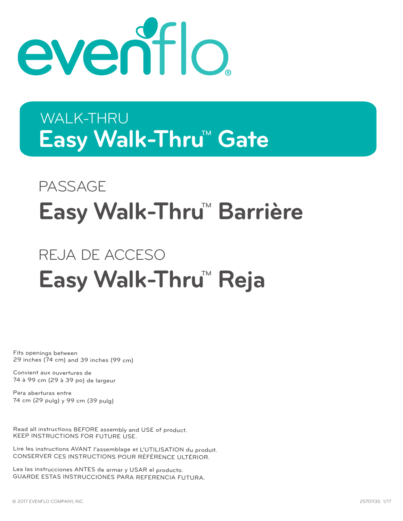

# Easy Walk-Thru<sup>M</sup> Gate WALK-THRU

# PASSAGE **Easy Walk-Thru<sup>™</sup> Barrière**

# REJA DE ACCESO **Easy Walk-Thru<sup>™</sup> Reja**

Fits openings between 29 inches (74 cm) and 39 inches (99 cm)

Convient aux ouvertures de 74 à 99 cm (29 à 39 po) de largeur

Para aberturas entre 74 cm (29 pulg) y 99 cm (39 pulg)

Read all instructions BEFORE assembly and USE of product. KEEP INSTRUCTIONS FOR FUTURE USE.

Lire les instructions AVANT l'assemblage et L'UTILISATION du produit. CONSERVER CES INSTRUCTIONS POUR RÉFÉRENCE ULTÉRIOR.

Lea las instrucciones ANTES de armar y USAR el producto. GUARDE ESTAS INSTRUCCIONES PARA REFERENCIA FUTURA.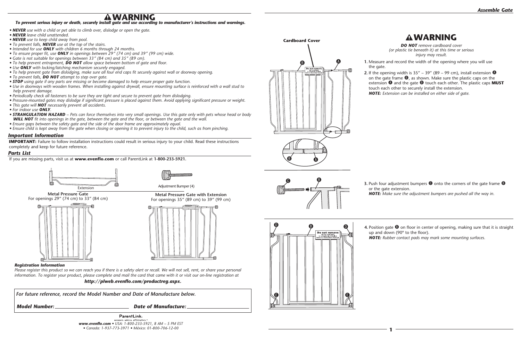If you are missing parts, visit us at **www.evenflo.com** or call ParentLink at **1-800-233-5921.**

# **WARNING**

*To prevent serious injury or death, securely install gate and use according to manufacturer's instructions and warnings.*

**IMPORTANT:** Failure to follow installation instructions could result in serious injury to your child. Read these instructions completely and keep for future reference.

- *NEVER use with a child or pet able to climb over, dislodge or open the gate.*
- *NEVER leave child unattended.*
- *NEVER use to keep child away from pool.*
- *To prevent falls, NEVER use at the top of the stairs.*
- *Intended for use ONLY with children 6 months through 24 months.*
- *To ensure proper fit, use ONLY in openings between 29" (74 cm) and 39" (99 cm) wide.*
- *Gate is not suitable for openings between 33" (84 cm) and 35" (89 cm).*
- *To help prevent entrapment, DO NOT allow space between bottom of gate and floor.*
- *Use ONLY with locking/latching mechanism securely engaged.*
- *To help prevent gate from dislodging, make sure all four end caps fit securely against wall or doorway opening.*
- *To prevent falls, DO NOT attempt to step over gate.*
- *STOP using gate if any parts are missing or become damaged to help ensure proper gate function.*
- *Use in doorways with wooden frames. When installing against drywall, ensure mounting surface is reinforced with a wall stud to help prevent damage.*
- *Periodically check all fasteners to be sure they are tight and secure to prevent gate from dislodging.*
- *Pressure-mounted gates may dislodge if significant pressure is placed against them. Avoid applying significant pressure or weight.*
- *This gate will NOT necessarily prevent all accidents.*
- *For indoor use ONLY.*
- *STRANGULATION HAZARD Pets can force themselves into very small openings. Use this gate only with pets whose head or body WILL NOT fit into openings in the gate, between the gate and the floor, or between the gate and the wall.*
- *Ensure gaps between the safety gate and the side of the door frame are approximately equal.*
- *Ensure child is kept away from the gate when closing or opening it to prevent injury to the child, such as from pinching.*

**2.** If the opening width is  $35'' - 39''$  (89 – 99 cm), install extension  $\bullet$ on the gate frame  $\mathbf \Theta$ , as shown. Make sure the plastic caps on the extension  $\bullet$  and the gate  $\bullet$  touch each other. The plastic caps **MUST** touch each other to securely install the extension. *NOTE: Extension can be installed on either side of gate.*

**3.** Push four adjustment bumpers  $\Theta$  onto the corners of the gate frame  $\Theta$ or the gate extension. *NOTE: Make sure the adjustment bumpers are pushed all the way in.*

**4.** Position gate  $\bullet$  on floor in center of opening, making sure that it is straight up and down (90º to the floor). *NOTE: Rubber contact pads may mark some mounting surfaces.*

ParentLink. *www.evenflo.com • USA: 1-800-233-5921, 8 AM – 5 PM EST • Canada: 1-937-773-3971 • México: 01-800-706-12-00*

#### *Important Information*



#### *Parts List*

**Metal Pressure Gate** For openings 29" (74 cm) to 33" (84 cm)



**Metal Pressure Gate with Extension**



**1.** Measure and record the width of the opening where you will use the gate.





*DO NOT remove cardboard cover (or plastic tie beneath it) at this time or serious injury may result.*

## **WARNING**





#### *Registration Information*

*Please register this product so we can reach you if there is a safety alert or recall. We will not sell, rent, or share your personal information. To register your product, please complete and mail the card that came with it or visit our on-line registration at*

*http://plweb.evenflo.com/productreg.aspx.*

 *For future reference, record the Model Number and Date of Manufacture below.*

*Model Number: Date of Manufacture:*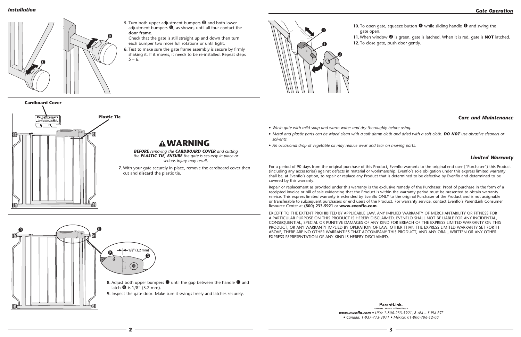**2 3** 

#### *Installation*

 $\boldsymbol{\Omega}$ 

- *• Wash gate with mild soap and warm water and dry thoroughly before using.*
- *solvents.*
- *• An occasional drop of vegetable oil may reduce wear and tear on moving parts.*

#### *Care and Maintenance*

• Metal and plastic parts can be wiped clean with a soft damp cloth and dried with a soft cloth. **DO NOT** use abrasive cleaners or

#### *Limited Warranty*

For a period of 90 days from the original purchase of this Product, Evenflo warrants to the original end user ("Purchaser") this Product (including any accessories) against defects in material or workmanship. Evenflo's sole obligation under this express limited warranty shall be, at Evenflo's option, to repair or replace any Product that is determined to be defective by Evenflo and determined to be covered by this warranty.

**5.** Turn both upper adjustment bumpers  $\bullet$  and both lower adjustment bumpers  $\bigcirc$ , as shown, until all four contact the **door frame**.

> Repair or replacement as provided under this warranty is the exclusive remedy of the Purchaser. Proof of purchase in the form of a receipted invoice or bill of sale evidencing that the Product is within the warranty period must be presented to obtain warranty service. This express limited warranty is extended by Evenflo ONLY to the original Purchaser of the Product and is not assignable or transferable to subsequent purchasers or end users of the Product. For warranty service, contact Evenflo's ParentLink Consumer Resource Center at **(800) 233-5921** or **www.evenflo.com**.

**6.** Test to make sure the gate frame assembly is secure by firmly shaking it. If it moves, it needs to be re-installed. Repeat steps  $5 - 6.$ 

 $\bullet$  $\bullet$ 8. Adjust both upper bumpers  $\bullet$  until the gap between the handle  $\bullet$  and latch  $\Theta$  is  $1/8$ " (3.2 mm). **9.** Inspect the gate door. Make sure it swings freely and latches securely.

 $\boldsymbol{\Omega}$ 

gate open.  $\boldsymbol{\theta}$  $\mathbf 0$  $\mathbf{O}$ 

**11.** When window  $\bullet$  is green, gate is latched. When it is red, gate is **NOT** latched. **12.** To close gate, push door gently.

ParentLink. answers, advice, affirmation. *www.evenflo.com • USA: 1-800-233-5921, 8 AM – 5 PM EST • Canada: 1-937-773-3971 • México: 01-800-706-12-00*

EXCEPT TO THE EXTENT PROHIBITED BY APPLICABLE LAW, ANY IMPLIED WARRANTY OF MERCHANTABILITY OR FITNESS FOR A PARTICULAR PURPOSE ON THIS PRODUCT IS HEREBY DISCLAIMED. EVENFLO SHALL NOT BE LIABLE FOR ANY INCIDENTAL, CONSEQUENTIAL, SPECIAL OR PUNITIVE DAMAGES OF ANY KIND FOR BREACH OF THE EXPRESS LIMITED WARRANTY ON THIS PRODUCT, OR ANY WARRANTY IMPLIED BY OPERATION OF LAW. OTHER THAN THE EXPRESS LIMITED WARRANTY SET FORTH ABOVE, THERE ARE NO OTHER WARRANTIES THAT ACCOMPANY THIS PRODUCT, AND ANY ORAL, WRITTEN OR ANY OTHER EXPRESS REPRESENTATION OF ANY KIND IS HEREBY DISCLAIMED.

Check that the gate is still straight up and down then turn each bumper two more full rotations or until tight.



**7.** With your gate securely in place, remove the cardboard cover then cut and **discard** the plastic tie.

**10.** To open gate, squeeze button  $\bullet$  while sliding handle  $\bullet$  and swing the

*BEFORE removing the CARDBOARD COVER and cutting the PLASTIC TIE, ENSURE the gate is securely in place or serious injury may result.*

# **WARNING**

**Cardboard Cover**

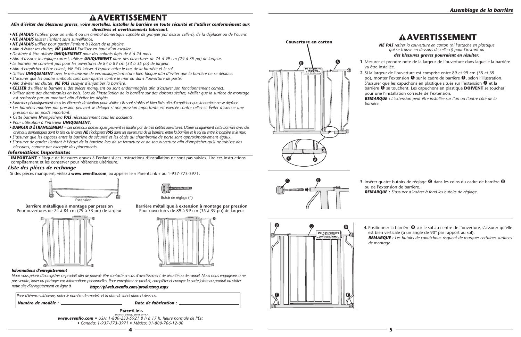**1.** Mesurer et prendre note de la largeur de l'ouverture dans laquelle la barrière va être installée.

**2.** Si la largeur de l'ouverture est comprise entre 89 et 99 cm (35 et 39 po), monter l'extension  $\bullet$  sur le cadre de barrière  $\bullet$ , selon l'illustration. S'assurer que les capuchons en plastique situés sur l'extension  $\bullet$  et la barrière B se touchent. Les capuchons en plastique **DOIVENT** se toucher pour une l'installation correcte de l'extension.

**3.** Insérer quatre butoirs de réglage  $\bullet$  dans les coins du cadre de barrière  $\bullet$ ou de l'extension de barrière.

*REMARQUE : L'extension peut être installée sur l'un ou l'autre côté de la* 

4. Positionner la barrière <sup>®</sup> sur le sol au centre de l'ouverture, s'assurer qu'elle est bien verticale (à un angle de 90° par rapport au sol). *REMARQUE : Les butoirs de caoutchouc risquent de marquer certaines surfaces* 

*REMARQUE : S'assurer d'insérer à fond les butoirs de réglage.*





*NE PAS retirer la couverture en carton (ni l'attache en plastique qui se trouve en dessous de celle-ci) pour l'instant ou des blessures graves pourraient en résulter.*







**4** <del>4</del> 5

# **AVERTISSEMENT**

# **AVERTISSEMENT**

Si des pièces manquent, visitez à **www.evenflo.com**, ou appeler le « ParentLink » au 1-937-773-3971.

#### *Afin d'éviter des blessures graves, voire mortelles, installer la barrière en toute sécurité et l'utiliser conformément aux directives et avertissements fabricant.*

ParentLink. swers. advice. affirmatior *www.evenflo.com • USA: 1-800-233-5921 8 h à 17 h, heure normale de l'Est • Canada: 1-937-773-3971 • México: 01-800-706-12-00* 

- *NE JAMAIS l'utiliser pour un enfant ou un animal domestique capable de grimper par dessus celle-ci, de la déplacer ou de l'ouvrir.*
- *NE JAMAIS laisser l'enfant sans surveillance.*
- *NE JAMAIS utiliser pour garder l'enfant à l'écart de la piscine.*
- *Afin d'éviter les chutes, NE JAMAIS l'utiliser en haut d'un escalier.*
- *Destinée à être utilisée UNIQUEMENT pour des enfants âgés de 6 à 24 mois.*
- *Afin d'assurer le réglage correct, utiliser UNIQUEMENT dans des ouvertures de 74 à 99 cm (29 à 39 po) de largeur.*
- *Le barrière ne convient pas pour les ouvertures de 84 à 89 cm (33 à 35 po) de largeur.*
- *Afin d'empêcher d'être coincé, NE PAS laisser d'espace entre le bas de la barrière et le sol.*
- *Utiliser UNIQUEMENT avec le mécanisme de verrouillage/fermeture bien bloqué afin d'éviter que la barrière ne se déplace.*
- *S'assurer que les quatre embouts sont bien ajustés contre le mur ou dans l'ouverture de porte.*
- *Afin d'éviter les chutes, NE PAS essayer d'enjamber la barrière.*
- *CESSER d'utiliser la barrière si des pièces manquent ou sont endommagées afin d'assurer son fonctionnement correct.*
- *Utiliser dans des chambranles en bois. Lors de l'installation de la barrière sur des cloisons sèches, vérifier que la surface de montage est renforcée par un montant afin d'éviter les dégâts.*
- *Examiner périodiquement tous les éléments de fixation pour vérifier s'ils sont stables et bien fixés afin d'empêcher que la barrière ne se déplace.*
- *Les barrières montées par pression peuvent se déloger si une pression importante est exercée contre celles-ci. Éviter d'exercer une pression ou un poids important.*
- *Cette barrière N'empêchera PAS nécessairement tous les accidents.*
- *Pour utilisation à l'intérieur UNIQUEMENT.*
- *DANGER D'ÉTRANGLEMENT Les animaux domestiques peuvent se faufiler par de très petites ouvertures. Utiliser uniquement cette barrière avec des animaux domestiques dont la tête ou le corps NE s'adaptent PAS dans les ouvertures de la barrière, entre la barrière et le sol ou entre la barrière et le mur.*
- *S'assurer que les espaces entre la barrière de sécurité et les côtés du chambranle de porte sont approximativement égaux.*
- *S'assurer de garder l'enfant à l'écart de la barrière lors de sa fermeture et de son ouverture afin d'empêcher qu'il ne subisse des blessures, comme par exemple des pincements.*

#### *Informations Importantes*

**IMPORTANT :** Risque de blessures graves à l'enfant si ces instructions d'installation ne sont pas suivies. Lire ces instructions complètement et les conserver pour référence ultérieure.



#### *Liste des pièces de rechange*

**Barrière métallique à montage par pression** Pour ouvertures de 74 à 84 cm (29 à 33 po) de largeur



**Barrière métallique à extension à montage par pression** Pour ouvertures de 89 à 99 cm (35 à 39 po) de largeur

 *Pour référence ultérieure, noter le numéro de modèle et la date de fabrication ci-dessous.*

*Numéro de modèle : Date de fabrication :*

#### *Informations d'enregistrement*

*Nous vous prions d'enregistrer ce produit afin de pouvoir être contacté en cas d'avertissement de sécurité ou de rappel. Nous nous engageons à ne pas vendre, louer ou partager vos informations personnelles. Pour enregistrer ce produit, compléter et envoyer la carte jointe au produit ou visiter notre site d'enregistrement en ligne à http://plweb.evenflo.com/productreg.aspx*

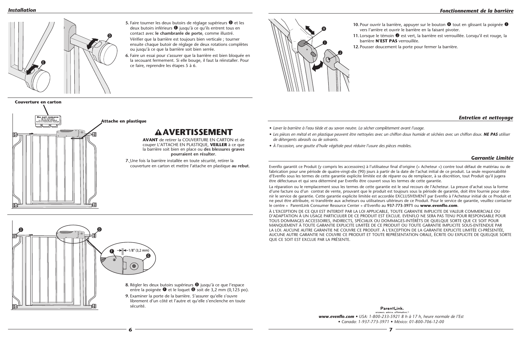**10.** Pour ouvrir la barrière, appuyer sur le bouton  $\Phi$  tout en glissant la poignée  $\Phi$ vers l'arrière et ouvrir le barrière en la faisant pivoter.

11. Lorsque le témoin  $\bullet$  est vert, la barrière est verrouillée. Lorsqu'il est rouge, la barrière **N'EST PAS** verrouillée.

**12.** Pousser doucement la porte pour fermer la barrière.

**6 7** 

#### *Installation*

*• Les pièces en métal et en plastique peuvent être nettoyées avec un chiffon doux humide et séchées avec un chiffon doux. NE PAS utiliser* 

- *• Laver la barrière à l'eau tiède et au savon neutre. La sécher complètement avant l'usage.*
- *de détergents abrasifs ou de solvants.*
- *• À l'occasion, une goutte d'huile végétale peut réduire l'usure des pièces mobiles.*

#### *Entretien et nettoyage*

#### *Garrantie Limitée*

Evenflo garantit ce Produit (y compris les accessoires) à l'utilisateur final d'origine (« Acheteur ») contre tout défaut de matériau ou de fabrication pour une période de quatre-vingt-dix (90) jours à partir de la date de l'achat initial de ce produit. La seule responsabilité d'Evenflo sous les termes de cette garantie explicite limitée est de réparer ou de remplacer, à sa discrétion, tout Produit qu'il jugera être défectueux et qui sera déterminé par Evenflo être couvert sous les termes de cette garantie.

**5.** Faire tourner les deux butoirs de réglage supérieurs  $\bullet$  et les deux butoirs inférieurs  $\bullet$  jusqu'à ce qu'ils entrent tous en contact avec **le chambranle de porte**, comme illustré.

- 8. Régler les deux butoirs supérieurs <sup>1</sup> jusqu'à ce que l'espace entre la poignée  $\bullet$  et le loquet  $\bullet$  soit de 3,2 mm (0,125 po).
- **9.** Examiner la porte de la barrière. S'assurer qu'elle s'ouvre librement d'un côté et l'autre et qu'elle s'enclenche en toute

La réparation ou le remplacement sous les termes de cette garantie est le seul recours de l'Acheteur. La preuve d'achat sous la forme d'une facture ou d'un contrat de vente, prouvant que le produit est toujours sous la période de garantie, doit être fournie pour obtenir le service de garantie. Cette garantie explicite limitée est accordée EXCLUSIVEMENT par Evenflo à l'Acheteur initial de ce Produit et ne peut être attribuée, ni transférée aux acheteurs ou utilisateurs ultérieurs de ce Produit. Pour le service de garantie, veuillez contacter le centre « ParentLink Consumer Resource Center » d'Evenflo au **937-773-3971** ou **www.evenflo.com**. À L'EXCEPTION DE CE QUI EST INTERDIT PAR LA LOI APPLICABLE, TOUTE GARANTIE IMPLICITE DE VALEUR COMMERCIALE OU D'ADAPTATION À UN USAGE PARTICULIER DE CE PRODUIT EST EXCLUE. EVENFLO NE SERA PAS TENU POUR RESPONSABLE POUR TOUS DOMMAGES ACCESSOIRES, INDIRECTS, SPÉCIAUX OU DOMMAGES-INTÉRÊTS DE QUELQUE SORTE QUE CE SOIT POUR MANQUEMENT À TOUTE GARANTIE EXPLICITE LIMITÉE DE CE PRODUIT OU TOUTE GARANTIE IMPLICITE SOUS-ENTENDUE PAR LA LOI. AUCUNE AUTRE GARANTIE NE COUVRE CE PRODUIT. À L'EXCEPTION DE LA GARANTIE EXPLICITE LIMITÉE CI-PRÉSENTÉE, AUCUNE AUTRE GARANTIE NE COUVRE CE PRODUIT ET TOUTE REPRÉSENTATION ORALE, ÉCRITE OU EXPLICITE DE QUELQUE SORTE QUE CE SOIT EST EXCLUE PAR LA PRÉSENTE.

Vérifier que la barrière est toujours bien verticale ; tourner ensuite chaque butoir de réglage de deux rotations complètes ou jusqu'à ce que la barrière soit bien serrée.

**6.** Faire un essai pour s'assurer que la barrière est bien bloquée en la secouant fermement. Si elle bouge, il faut la réinstaller. Pour ce faire, reprendre les étapes 5 à 6.



**7.** Une fois la barrière installée en toute sécurité, retirer la couverture en carton et mettre l'attache en plastique **au rebut**.



**AVANT** de retirer la COUVERTURE EN CARTON et de couper L'ATTACHE EN PLASTIQUE, **VEILLER** à ce que la barrière soit bien en place ou **des blessures graves pourraient en résulter.**

**Couverture en carton**

**Attache en plastique**

# **AAVERTISSEMENT**



# zip tie until gate<br>is completely installed<br>fer to instruction manu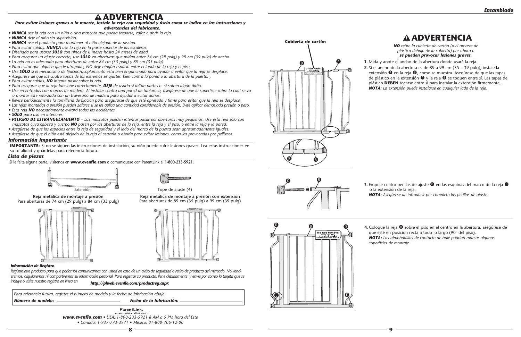**1.** Mida y anote el ancho de la abertura donde usará la reja.

**2.** Si el ancho de la abertura es de 89 a 99 cm (35 – 39 pulg), instale la extensión  $\bullet$  en la reja  $\bullet$ , como se muestra. Asegúrese de que las tapas de plástico en la extensión  $\bullet$  y la reja  $\bullet$  se toquen entre sí. Las tapas de plástico **DEBEN** tocarse entre sí para instalar la extensión firmemente. *NOTA: La extensión puede instalarse en cualquier lado de la reja.*

**3.** Empuje cuatro perillas de ajuste  $\bullet$  en las esquinas del marco de la reja  $\bullet$  o la extensión de la reja. *NOTA: Asegúrese de introducir por completo las perillas de ajuste.*





*NO retire la cubierta de cartón (o el amarre de plástico debajo de la cubierta) por ahora o se pueden provocar lesiones graves.*



**4.** Coloque la reja B sobre el piso en el centro en la abertura, asegúrese de que esté en posición recta a todo lo largo (90° del piso). *NOTA: Las almohadillas de contacto de hule podrían marcar algunas superficies de montaje.*



- 
- 

## **ADVERTENCIA**

## **ADVERTENCIA**

Si le falta alguna parte, visítenos en **www.evenflo.com** o comuníquese con ParentLink al **1-800-233-5921**.

*Para evitar lesiones graves o la muerte, instale la reja con seguridad y úsela como se indica en las instrucciones y* 

#### *advertencias del fabricante.*

ParentLink. answers, advice, affirmation *www.evenflo.com • USA: 1-800-233-5921 8 AM a 5 PM hora del Este • Canada: 1-937-773-3971 • México: 01-800-706-12-00* 

- *NUNCA use la reja con un niño o una mascota que pueda treparse, zafar o abrir la reja.*
- *NUNCA deje al niño sin supervisión.*
- *NUNCA use el producto para mantener al niño alejado de la piscina.*
- *Para evitar caídas, NUNCA use la reja en la parte superior de las escaleras.*
- *Diseñada para usarse SÓLO con niños de 6 meses hasta 24 meses de edad.*
- *Para asegurar un ajuste correcto, use SÓLO en aberturas que midan entre 74 cm (29 pulg) y 99 cm (39 pulg) de ancho.*
- *La reja no es adecuada para aberturas de entre 84 cm (33 pulg) y 89 cm (35 pulg).*
- *Para evitar que alguien quede atrapado, NO deje ningún espacio entre el fondo de la reja y el piso.*
- *Use SÓLO si el mecanismo de fijación/acoplamiento está bien enganchado para ayudar a evitar que la reja se desplace.*
- *Asegúrese de que las cuatro tapas de los extremos se ajusten bien contra la pared o la abertura de la puerta. ,*
- *Para evitar caídas, NO intente pasar sobre la reja.*
- *Para asegurar que la reja funcione correctamente, DEJE de usarla si faltan partes o si sufren algún daño.*
- *Use en entradas con marcos de madera. Al instalar contra una pared de tablaroca, asegúrese de que la superficie sobre la cual se va a montar esté reforzada con un travesaño de madera para ayudar a evitar daños.*
- *Revise periódicamente la tornillería de fijación para asegurarse de que esté apretada y firme para evitar que la reja se desplace.*
- *Las rejas montadas a presión pueden zafarse si se les aplica una cantidad considerable de presión. Evite aplicar demasiada presión o peso.*
- *Esta reja NO necesariamente evitará todos los accidentes.*
- *SÓLO para uso en interiores.*
- *PELIGRO DE ESTRANGULAMIENTO Las mascotas pueden intentar pasar por aberturas muy pequeñas. Use esta reja sólo con mascotas cuya cabeza y cuerpo NO pasen por las aberturas de la reja, entre la reja y el piso, o entre la reja y la pared.*
- *Asegúrese de que los espacios entre la reja de seguridad y el lado del marco de la puerta sean aproximadamente iguales.*
- *Asegúrese de que el niño esté alejado de la reja al cerrarla o abrirla para evitar lesiones, como las provocadas por pellizcos.*

#### *Información Importante*

**IMPORTANTE:** Si no se siguen las instrucciones de instalación, su niño puede sufrir lesiones graves. Lea estas instrucciones en su totalidad y guárdelas para referencia futura.

#### *Lista de piezas*



**Reja metálica de montaje a presión** Para aberturas de 74 cm (29 pulg) a 84 cm (33 pulg)



**Reja metálica de montaje a presión con extensión** Para aberturas de 89 cm (35 pulg) a 99 cm (39 pulg)



 *Para referencia futura, registre el número de modelo y la fecha de fabricación abajo.*

*Número de modelo: Fecha de la fabricación:*

#### *Información de Registro*

*Registre este producto para que podamos comunicarnos con usted en caso de un aviso de seguridad o retiro de producto del mercado. No venderemos, alquilaremos ni compartiremos su información personal. Para registrar su producto, llene debidamente y envíe por correo la tarjeta que se incluye o visite nuestro registro en línea en http://plweb.evenflo.com/productreg.aspx*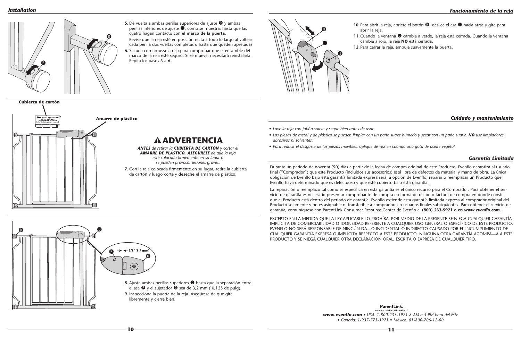#### *Installation*

*• Lave la reja con jabón suave y seque bien antes de usar.*

*• Las piezas de metal y de plástico se pueden limpiar con un paño suave húmedo y secar con un paño suave. NO use limpiadores* 

- *abrasivos ni solventes.*
- *• Para reducir el desgaste de las piezas movibles, aplique de vez en cuando una gota de aceite vegetal.*

#### *Cuidado y mantenimiento*

#### *Garantía Limitada*

Durante un periodo de noventa (90) días a partir de la fecha de compra original de este Producto, Evenflo garantiza al usuario final ("Comprador") que este Producto (incluidos sus accesorios) está libre de defectos de material y mano de obra. La única obligación de Evenflo bajo esta garantía limitada expresa será, a opción de Evenflo, reparar o reemplazar un Producto que Evenflo haya determinado que es defectuoso y que esté cubierto bajo esta garantía.

**5.** Dé vuelta a ambas perillas superiores de ajuste  $\bullet$  y ambas perillas inferiores de ajuste  $\bullet$ , como se muestra, hasta que las cuatro hagan contacto con **el marco de la puerta**. Revise que la reja esté en posición recta a todo lo largo al voltear cada perilla dos vueltas completas o hasta que queden apretadas

> La reparación o reemplazo tal como se especifica en esta garantía es el único recurso para el Comprador. Para obtener el servicio de garantía es necesario presentar comprobante de compra en forma de recibo o factura de compra en donde conste que el Producto está dentro del periodo de garantía. Evenflo extiende esta garantía limitada expresa al comprador original del Producto solamente y no es asignable ni transferible a compradores o usuarios finales subsiguientes. Para obtener el servicio de garantía, comuníquese con ParentLink Consumer Resource Center de Evenflo al **(800) 233-5921 o en** *www.evenflo.com.*

> > ParentLink. answers, advice, affir *www.evenflo.com • USA: 1-800-233-5921 8 AM a 5 PM hora del Este • Canada: 1-937-773-3971 • México: 01-800-706-12-00*

abrir la reja.  $\boldsymbol{\theta}$  $\mathbf 0$  $\mathbf{O}$ 

**11.** Cuando la ventana  $\bullet$  cambia a verde, la reja está cerrada. Cuando la ventana cambia a rojo, la reja **NO** está cerrada.

EXCEPTO EN LA MEDIDA QUE LA LEY APLICABLE LO PROHÍBA, POR MEDIO DE LA PRESENTE SE NIEGA CUALQUIER GARANTÍA IMPLÍCITA DE COMERCIABILIDAD O IDONEIDAD REFERENTE A CUALQUIER USO GENERAL O ESPECÍFICO DE ESTE PRODUCTO. EVENFLO NO SERÁ RESPONSABLE DE NINGÚN DA—O INCIDENTAL O INDIRECTO CAUSADO POR EL INCUMPLIMIENTO DE CUALQUIER GARANTÍA EXPRESA O IMPLÍCITA RESPECTO A ESTE PRODUCTO. NINGUNA OTRA GARANTÍA ACOMPA—A A ESTE PRODUCTO Y SE NIEGA CUALQUIER OTRA DECLARACIÓN ORAL, ESCRITA O EXPRESA DE CUALQUIER TIPO.

**6.** Sacuda con firmeza la reja para comprobar que el ensamble del marco de la reja esté seguro. Si se mueve, necesitará reinstalarla. Repita los pasos 5 a 6.





**7.** Con la reja colocada firmemente en su lugar, retire la cubierta de cartón y luego corte y **deseche** el amarre de plástico.

**10.** Para abrir la reja, apriete el botón  $\mathbf{\Theta}$ , deslice el asa  $\mathbf{\Theta}$  hacia atrás y gire para

*ANTES de retirar la CUBIERTA DE CARTÓN y cortar el AMARRE DE PLÁSTICO, ASEGÚRESE de que la reja esté colocada firmemente en su lugar o se pueden provocar lesiones graves.*

**Cubierta de cartón**

**Do not remov**<br>zip tie until gate<br>is completely installed.<br>Refer to instruction manu  $\overline{\mathbb{H}}$  **Amarre de plástico**

**ADVERTENCIA**

**12.** Para cerrar la reja, empuje suavemente la puerta.